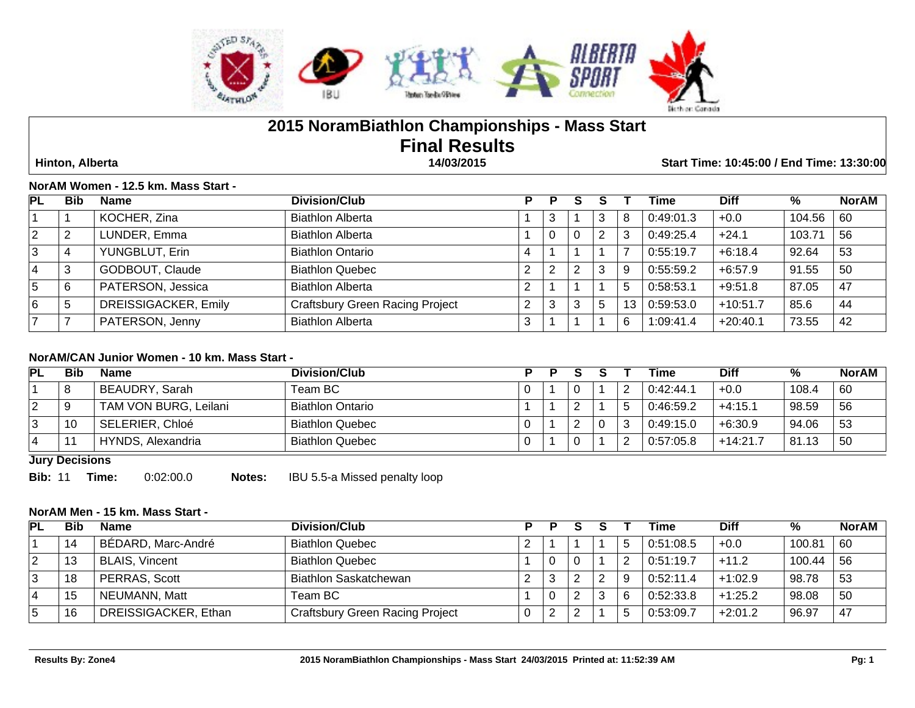

# **2015 NoramBiathlon Championships - Mass Start Final Results**

 **Hinton, Alberta 14/03/2015 Start Time: 10:45:00 / End Time: 13:30:00**

#### **NorAM Women - 12.5 km. Mass Start -**

| PL          | <b>Bib</b> | <b>Name</b>          | <b>Division/Club</b>                   | P |   |   |   |    | Time      | <b>Diff</b> | %      | <b>NorAM</b> |
|-------------|------------|----------------------|----------------------------------------|---|---|---|---|----|-----------|-------------|--------|--------------|
|             |            | KOCHER, Zina         | <b>Biathlon Alberta</b>                |   | 3 |   | P | 8  | 0:49:01.3 | $+0.0$      | 104.56 | 60           |
| 2           |            | LUNDER, Emma         | <b>Biathlon Alberta</b>                |   | υ | U |   | ົ  | 0:49:25.4 | $+24.1$     | 103.71 | 56           |
| 3           |            | YUNGBLUT, Erin       | <b>Biathlon Ontario</b>                | 4 |   |   |   |    | 0:55:19.7 | $+6:18.4$   | 92.64  | 53           |
| 4           | 3          | GODBOUT, Claude      | <b>Biathlon Quebec</b>                 |   |   |   |   | 9  | 0:55:59.2 | $+6.57.9$   | 91.55  | 50           |
| $\mathbf b$ | 6          | PATERSON, Jessica    | <b>Biathlon Alberta</b>                |   |   |   |   | 5  | 0:58:53.1 | $+9.51.8$   | 87.05  | 47           |
| 6           |            | DREISSIGACKER, Emily | <b>Craftsbury Green Racing Project</b> |   |   |   |   | 13 | 0:59:53.0 | $+10:51.7$  | 85.6   | 44           |
|             |            | PATERSON, Jenny      | <b>Biathlon Alberta</b>                |   |   |   |   | 6  | 1:09:41.4 | $+20:40.1$  | 73.55  | 42           |

#### **NorAM/CAN Junior Women - 10 km. Mass Start -**

| PL | Bib    | Name                  | Division/Club           |  |        | Time      | <b>Diff</b> | %     | <b>NorAM</b> |
|----|--------|-----------------------|-------------------------|--|--------|-----------|-------------|-------|--------------|
|    | я<br>് | BEAUDRY, Sarah        | Team BC                 |  |        | 0.42:44.1 | $+0.0$      | 108.4 | 60           |
| 2  |        | TAM VON BURG, Leilani | <b>Biathlon Ontario</b> |  |        | 0:46:59.2 | $+4:15.1$   | 98.59 | -56          |
| 3  | 10     | SELERIER, Chloé       | <b>Biathlon Quebec</b>  |  | $\sim$ | 0:49:15.0 | $+6:30.9$   | 94.06 | 53           |
| 4  |        | HYNDS, Alexandria     | <b>Biathlon Quebec</b>  |  |        | 0.57:05.8 | $+14.21.7$  | 81.13 | 50           |

**Jury Decisions**

**Bib:** 11 **Time:** 0:02:00.0 **Notes:** IBU 5.5-a Missed penalty loop

## **NorAM Men - 15 km. Mass Start -**

| PL | Bib | <b>Name</b>           | Division/Club                          |                 |  |   | Time      | <b>Diff</b> | %      | NorAM |
|----|-----|-----------------------|----------------------------------------|-----------------|--|---|-----------|-------------|--------|-------|
|    | 14  | BÉDARD, Marc-André    | <b>Biathlon Quebec</b>                 |                 |  |   | 0:51:08.5 | $+0.0$      | 100.81 | 60    |
|    | 13  | <b>BLAIS, Vincent</b> | <b>Biathlon Quebec</b>                 |                 |  |   | 0:51:19.7 | $+11.2$     | 100.44 | 56    |
|    | 18  | PERRAS, Scott         | Biathlon Saskatchewan                  | $\sqrt{2}$<br>∠ |  |   | 0:52:11.4 | $+1:02.9$   | 98.78  | 53    |
|    | 15  | NEUMANN, Matt         | Team BC .                              |                 |  | ົ | 0.52:33.8 | $+1:25.2$   | 98.08  | 50    |
|    | 16  | DREISSIGACKER, Ethan  | <b>Craftsbury Green Racing Project</b> | 0               |  |   | 0.53:09.7 | $+2:01.2$   | 96.97  | -47   |